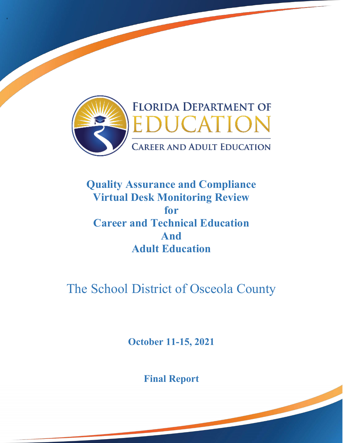

'

## **Quality Assurance and Compliance Virtual Desk Monitoring Review for Career and Technical Education And Adult Education**

# The School District of Osceola County

**October 11-15, 2021** 

**Final Report**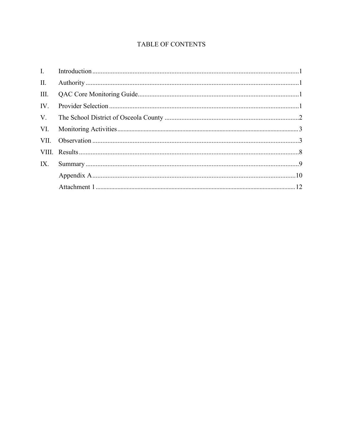### TABLE OF CONTENTS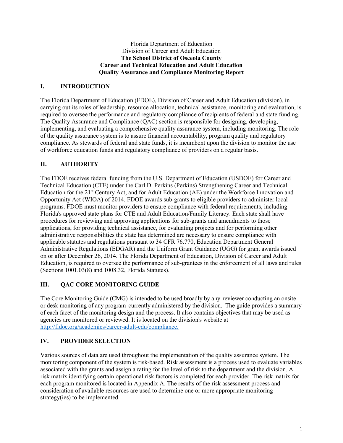#### **The School District of Osceola County**  Florida Department of Education Division of Career and Adult Education **Career and Technical Education and Adult Education Quality Assurance and Compliance Monitoring Report**

#### **I. INTRODUCTION**

 compliance. As stewards of federal and state funds, it is incumbent upon the division to monitor the use The Florida Department of Education (FDOE), Division of Career and Adult Education (division), in carrying out its roles of leadership, resource allocation, technical assistance, monitoring and evaluation, is required to oversee the performance and regulatory compliance of recipients of federal and state funding. The Quality Assurance and Compliance (QAC) section is responsible for designing, developing, implementing, and evaluating a comprehensive quality assurance system, including monitoring. The role of the quality assurance system is to assure financial accountability, program quality and regulatory of workforce education funds and regulatory compliance of providers on a regular basis.

#### **II. AUTHORITY**

Education for the 21<sup>st</sup> Century Act, and for Adult Education (AE) under the Workforce Innovation and procedures for reviewing and approving applications for sub-grants and amendments to those applicable statutes and regulations pursuant to 34 CFR 76.770, Education Department General Administrative Regulations (EDGAR) and the Uniform Grant Guidance (UGG) for grant awards issued on or after December 26, 2014. The Florida Department of Education, Division of Career and Adult The FDOE receives federal funding from the U.S. Department of Education (USDOE) for Career and Technical Education (CTE) under the Carl D. Perkins (Perkins) Strengthening Career and Technical Opportunity Act (WIOA) of 2014. FDOE awards sub-grants to eligible providers to administer local programs. FDOE must monitor providers to ensure compliance with federal requirements, including Florida's approved state plans for CTE and Adult Education/Family Literacy. Each state shall have applications, for providing technical assistance, for evaluating projects and for performing other administrative responsibilities the state has determined are necessary to ensure compliance with Education, is required to oversee the performance of sub-grantees in the enforcement of all laws and rules (Sections 1001.03(8) and 1008.32, Florida Statutes).

#### **III. QAC CORE MONITORING GUIDE**

 The Core Monitoring Guide (CMG) is intended to be used broadly by any reviewer conducting an onsite or desk monitoring of any program currently administered by the division. The guide provides a summary of each facet of the monitoring design and the process. It also contains objectives that may be used as agencies are monitored or reviewed. It is located on the division's website at [http://fldoe.org/academics/career-adult-edu/compliance.](http://fldoe.org/academics/career-adult-edu/compliance) 

#### **IV. PROVIDER SELECTION**

 Various sources of data are used throughout the implementation of the quality assurance system. The monitoring component of the system is risk-based. Risk assessment is a process used to evaluate variables associated with the grants and assign a rating for the level of risk to the department and the division. A risk matrix identifying certain operational risk factors is completed for each provider. The risk matrix for consideration of available resources are used to determine one or more appropriate monitoring each program monitored is located in Appendix A. The results of the risk assessment process and strategy(ies) to be implemented.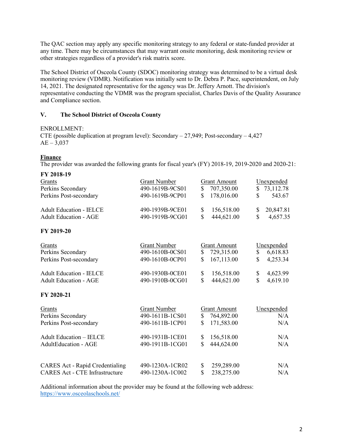The QAC section may apply any specific monitoring strategy to any federal or state-funded provider at any time. There may be circumstances that may warrant onsite monitoring, desk monitoring review or other strategies regardless of a provider's risk matrix score.

 monitoring review (VDMR). Notification was initially sent to Dr. Debra P. Pace, superintendent, on July 14, 2021. The designated representative for the agency was Dr. Jeffery Arnott. The division's The School District of Osceola County (SDOC) monitoring strategy was determined to be a virtual desk representative conducting the VDMR was the program specialist, Charles Davis of the Quality Assurance and Compliance section.

#### **V. The School District of Osceola County**

#### ENROLLMENT:

CTE (possible duplication at program level): Secondary – 27,949; Post-secondary – 4,427  $AE - 3.037$ 

#### **Finance**

The provider was awarded the following grants for fiscal year's (FY) 2018-19, 2019-2020 and 2020-21:

| FY 2018-19                                                                      |                     |                           |                 |
|---------------------------------------------------------------------------------|---------------------|---------------------------|-----------------|
| Grants                                                                          | <b>Grant Number</b> | <b>Grant Amount</b>       | Unexpended      |
| Perkins Secondary                                                               | 490-1619B-9CS01     | 707,350.00<br>\$          | 73,112.78<br>S  |
| Perkins Post-secondary                                                          | 490-1619B-9CP01     | \$<br>178,016.00          | \$<br>543.67    |
| <b>Adult Education - IELCE</b>                                                  | 490-1939B-9CE01     | \$<br>156,518.00          | 20,847.81<br>\$ |
| <b>Adult Education - AGE</b>                                                    | 490-1919B-9CG01     | \$<br>444,621.00          | \$<br>4,657.35  |
| FY 2019-20                                                                      |                     |                           |                 |
| Grants                                                                          | <b>Grant Number</b> | <b>Grant Amount</b>       | Unexpended      |
| Perkins Secondary                                                               | 490-1610B-0CS01     | \$<br>729,315.00          | 6,618.83<br>\$  |
| Perkins Post-secondary                                                          | 490-1610B-0CP01     | \$<br>167,113.00          | \$<br>4,253.34  |
| <b>Adult Education - IELCE</b>                                                  | 490-1930B-0CE01     | \$<br>156,518.00          | \$<br>4,623.99  |
| <b>Adult Education - AGE</b>                                                    | 490-1910B-0CG01     | $\mathbf S$<br>444,621.00 | \$<br>4,619.10  |
| FY 2020-21                                                                      |                     |                           |                 |
| Grants                                                                          | <b>Grant Number</b> | <b>Grant Amount</b>       | Unexpended      |
| Perkins Secondary                                                               | 490-1611B-1CS01     | \$<br>764,892.00          | N/A             |
| Perkins Post-secondary                                                          | 490-1611B-1CP01     | \$<br>171,583.00          | N/A             |
| <b>Adult Education - IELCE</b>                                                  | 490-1931B-1CE01     | \$<br>156,518.00          | N/A             |
| <b>AdultEducation - AGE</b>                                                     | 490-1911B-1CG01     | \$<br>444,624.00          | N/A             |
|                                                                                 |                     |                           |                 |
| <b>CARES Act - Rapid Credentialing</b><br><b>CARES Act - CTE Infrastructure</b> | 490-1230A-1CR02     | \$<br>259,289.00<br>\$    | N/A             |
|                                                                                 | 490-1230A-1C002     | 238,275.00                | N/A             |

 Additional information about the provider may be found at the following web address: <https://www.osceolaschools.net/>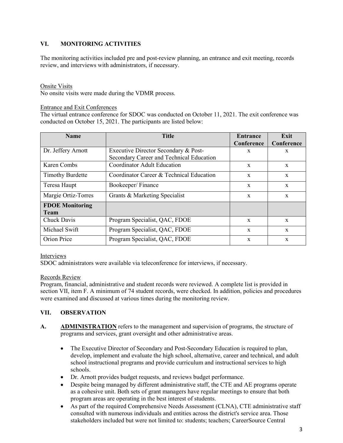#### **VI. MONITORING ACTIVITIES**

The monitoring activities included pre and post-review planning, an entrance and exit meeting, records review, and interviews with administrators, if necessary.

#### Onsite Visits

No onsite visits were made during the VDMR process.

#### Entrance and Exit Conferences

 conducted on October 15, 2021. The participants are listed below: The virtual entrance conference for SDOC was conducted on October 11, 2021. The exit conference was

| <b>Name</b>                           | <b>Title</b>                                                                     | Entrance<br>Conference | Exit<br>Conference |
|---------------------------------------|----------------------------------------------------------------------------------|------------------------|--------------------|
| Dr. Jeffery Arnott                    | Executive Director Secondary & Post-<br>Secondary Career and Technical Education | X                      | X                  |
| Karen Combs                           | <b>Coordinator Adult Education</b>                                               | $\mathbf{x}$           | $\mathbf{x}$       |
| <b>Timothy Burdette</b>               | Coordinator Career & Technical Education                                         | $\mathbf{x}$           | $\mathbf{x}$       |
| Teresa Haupt                          | Bookeeper/Finance                                                                | $\mathbf{x}$           | $\mathbf{x}$       |
| Margie Ortiz-Torres                   | Grants & Marketing Specialist                                                    | $\mathbf x$            | $\mathbf{x}$       |
| <b>FDOE Monitoring</b><br><b>Team</b> |                                                                                  |                        |                    |
| Chuck Davis                           | Program Specialist, QAC, FDOE                                                    | $\mathbf{x}$           | $\mathbf{x}$       |
| Michael Swift                         | Program Specialist, QAC, FDOE                                                    | $\mathbf{x}$           | $\mathbf{x}$       |
| Orion Price                           | Program Specialist, QAC, FDOE                                                    | X                      | X                  |

#### Interviews

SDOC administrators were available via teleconference for interviews, if necessary.

#### Records Review

section VII, item F. A minimum of 74 student records, were checked. In addition, policies and procedures Program, financial, administrative and student records were reviewed. A complete list is provided in were examined and discussed at various times during the monitoring review.

#### **VII. OBSERVATION**

- A. **ADMINISTRATION** refers to the management and supervision of programs, the structure of programs and services, grant oversight and other administrative areas.
	- develop, implement and evaluate the high school, alternative, career and technical, and adult • The Executive Director of Secondary and Post-Secondary Education is required to plan, school instructional programs and provide curriculum and instructional services to high schools.
	- Dr. Arnott provides budget requests, and reviews budget performance.
	- program areas are operating in the best interest of students. • Despite being managed by different administrative staff, the CTE and AE programs operate as a cohesive unit. Both sets of grant managers have regular meetings to ensure that both
	- stakeholders included but were not limited to: students; teachers; CareerSource Central • As part of the required Comprehensive Needs Assessment (CLNA), CTE administrative staff consulted with numerous individuals and entities across the district's service area. Those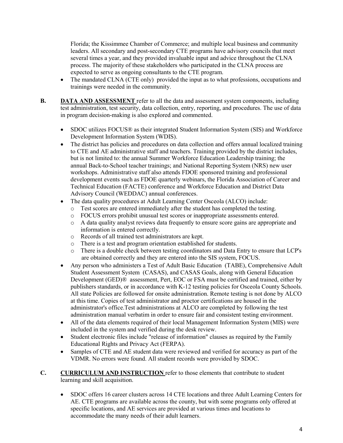several times a year, and they provided invaluable input and advice throughout the CLNA Florida; the Kissimmee Chamber of Commerce; and multiple local business and community leaders. All secondary and post-secondary CTE programs have advisory councils that meet process. The majority of these stakeholders who participated in the CLNA process are expected to serve as ongoing consultants to the CTE program.

- • The mandated CLNA (CTE only) provided the input as to what professions, occupations and trainings were needed in the community.
- **B.** DATA AND ASSESSMENT refer to all the data and assessment system components, including test administration, test security, data collection, entry, reporting, and procedures. The use of data in program decision-making is also explored and commented.
	- • SDOC utilizes FOCUS® as their integrated Student Information System (SIS) and Workforce Development Information System (WDIS).
	- workshops. Administrative staff also attends FDOE sponsored training and professional development events such as FDOE quarterly webinars, the Florida Association of Career and • The district has policies and procedures on data collection and offers annual localized training to CTE and AE administrative staff and teachers. Training provided by the district includes, but is not limited to: the annual Summer Workforce Education Leadership training; the annual Back-to-School teacher trainings; and National Reporting System (NRS) new user Technical Education (FACTE) conference and Workforce Education and District Data Advisory Council (WEDDAC) annual conferences.
	- The data quality procedures at Adult Learning Center Osceola (ALCO) include:
		- o Test scores are entered immediately after the student has completed the testing.
		- o FOCUS errors prohibit unusual test scores or inappropriate assessments entered.
		- <sup>o</sup> A data quality analyst reviews data frequently to ensure score gains are appropriate and information is entered correctly.
		- o Records of all trained test administrators are kept.
		- o There is a test and program orientation established for students.
		- o There is a double check between testing coordinators and Data Entry to ensure that LCP's are obtained correctly and they are entered into the SIS system, FOCUS.
	- Development (GED)® assessment, Pert, EOC or FSA must be certified and trained, either by at this time. Copies of test administrator and proctor certifications are housed in the • Any person who administers a Test of Adult Basic Education (TABE), Comprehensive Adult Student Assessment System (CASAS), and CASAS Goals, along with General Education publishers standards, or in accordance with K-12 testing policies for Osceola County Schools. All state Policies are followed for onsite administration. Remote testing is not done by ALCO administrator's office.Test administrations at ALCO are completed by following the test administration manual verbatim in order to ensure fair and consistent testing environment.
	- • All of the data elements required of their local Management Information System (MIS) were included in the system and verified during the desk review.
	- Student electronic files include "release of information" clauses as required by the Family Educational Rights and Privacy Act (FERPA).
	- VDMR. No errors were found. All student records were provided by SDOC. • Samples of CTE and AE student data were reviewed and verified for accuracy as part of the
- **C. CURRICULUM AND INSTRUCTION** refer to those elements that contribute to student learning and skill acquisition.
	- • SDOC offers 16 career clusters across 14 CTE locations and three Adult Learning Centers for AE. CTE programs are available across the county, but with some programs only offered at accommodate the many needs of their adult learners. specific locations, and AE services are provided at various times and locations to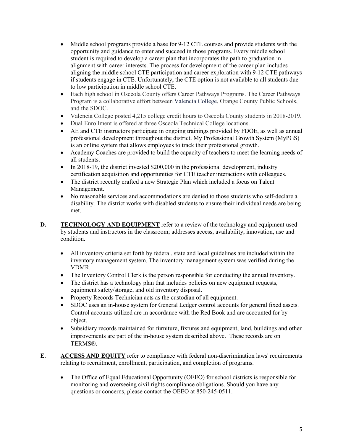- student is required to develop a career plan that incorporates the path to graduation in if students engage in CTE. Unfortunately, the CTE option is not available to all students due to low participation in middle school CTE. • Middle school programs provide a base for 9-12 CTE courses and provide students with the opportunity and guidance to enter and succeed in those programs. Every middle school alignment with career interests. The process for development of the career plan includes aligning the middle school CTE participation and career exploration with 9-12 CTE pathways
- and the SDOC. • Each high school in Osceola County offers Career Pathways Programs. The Career Pathways Program is a collaborative effort between [Valencia College,](https://valenciacollege.edu/students/career-pathways/programs/) Orange County Public Schools,
- Valencia College posted 4,215 college credit hours to Osceola County students in 2018-2019.
- Dual Enrollment is offered at three Osceola Technical College locations.
- is an online system that allows employees to track their professional growth. • AE and CTE instructors participate in ongoing trainings provided by FDOE, as well as annual professional development throughout the district. My Professional Growth System (MyPGS)
- Academy Coaches are provided to build the capacity of teachers to meet the learning needs of all students.
- In 2018-19, the district invested \$200,000 in the professional development, industry certification acquisition and opportunities for CTE teacher interactions with colleagues.
- • The district recently crafted a new Strategic Plan which included a focus on Talent Management.
- No reasonable services and accommodations are denied to those students who self-declare a disability. The district works with disabled students to ensure their individual needs are being met.
- **D.** TECHNOLOGY AND EQUIPMENT refer to a review of the technology and equipment used by students and instructors in the classroom; addresses access, availability, innovation, use and condition.
	- • All inventory criteria set forth by federal, state and local guidelines are included within the inventory management system. The inventory management system was verified during the VDMR.
	- The Inventory Control Clerk is the person responsible for conducting the annual inventory.
	- The district has a technology plan that includes policies on new equipment requests, equipment safety/storage, and old inventory disposal.
	- Property Records Technician acts as the custodian of all equipment.
	- SDOC uses an in-house system for General Ledger control accounts for general fixed assets. Control accounts utilized are in accordance with the Red Book and are accounted for by object.
	- improvements are part of the in-house system described above. These records are on • Subsidiary records maintained for furniture, fixtures and equipment, land, buildings and other TERMS®.
- **E. ACCESS AND EQUITY** refer to compliance with federal non-discrimination laws' requirements relating to recruitment, enrollment, participation, and completion of programs.
	- • The Office of Equal Educational Opportunity (OEEO) for school districts is responsible for monitoring and overseeing civil rights compliance obligations. Should you have any questions or concerns, please contact the OEEO at 850-245-0511.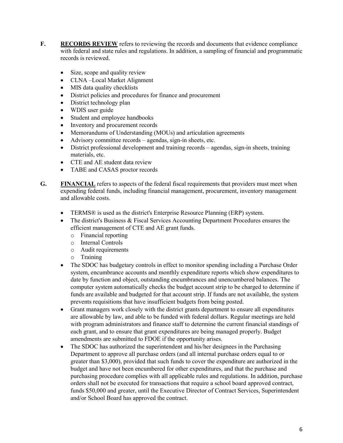- **F. RECORDS REVIEW** refers to reviewing the records and documents that evidence compliance with federal and state rules and regulations. In addition, a sampling of financial and programmatic records is reviewed.
	- Size, scope and quality review
	- CLNA –Local Market Alignment
	- MIS data quality checklists
	- District policies and procedures for finance and procurement
	- District technology plan
	- WDIS user guide
	- Student and employee handbooks
	- Inventory and procurement records
	- Memorandums of Understanding (MOUs) and articulation agreements
	- Advisory committee records agendas, sign-in sheets, etc.
	- District professional development and training records agendas, sign-in sheets, training materials, etc.
	- CTE and AE student data review
	- TABE and CASAS proctor records
- **G. FINANCIAL** refers to aspects of the federal fiscal requirements that providers must meet when expending federal funds, including financial management, procurement, inventory management and allowable costs.
	- TERMS<sup>®</sup> is used as the district's Enterprise Resource Planning (ERP) system.
	- efficient management of CTE and AE grant funds. • The district's Business & Fiscal Services Accounting Department Procedures ensures the
		- o Financial reporting
		- o Internal Controls
		- o Audit requirements
		- o Training
	- funds are available and budgeted for that account strip. If funds are not available, the system • The SDOC has budgetary controls in effect to monitor spending including a Purchase Order system, encumbrance accounts and monthly expenditure reports which show expenditures to date by function and object, outstanding encumbrances and unencumbered balances. The computer system automatically checks the budget account strip to be charged to determine if prevents requisitions that have insufficient budgets from being posted.
	- are allowable by law, and able to be funded with federal dollars. Regular meetings are held • Grant managers work closely with the district grants department to ensure all expenditures with program administrators and finance staff to determine the current financial standings of each grant, and to ensure that grant expenditures are being managed properly. Budget amendments are submitted to FDOE if the opportunity arises.
	- The SDOC has authorized the superintendent and his/her designees in the Purchasing Department to approve all purchase orders (and all internal purchase orders equal to or greater than \$3,000), provided that such funds to cover the expenditure are authorized in the budget and have not been encumbered for other expenditures, and that the purchase and purchasing procedure complies with all applicable rules and regulations. In addition, purchase orders shall not be executed for transactions that require a school board approved contract, funds \$50,000 and greater, until the Executive Director of Contract Services, Superintendent and/or School Board has approved the contract.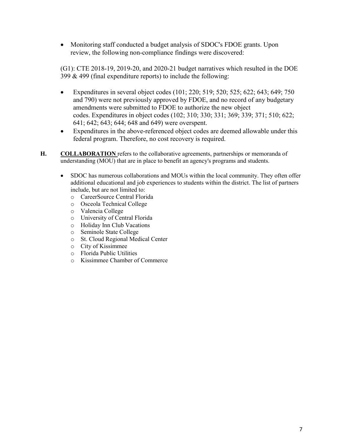review, the following non-compliance findings were discovered: • Monitoring staff conducted a budget analysis of SDOC's FDOE grants. Upon

(G1): CTE 2018-19, 2019-20, and 2020-21 budget narratives which resulted in the DOE 399 & 499 (final expenditure reports) to include the following:

- • Expenditures in several object codes (101; 220; 519; 520; 525; 622; 643; 649; 750 amendments were submitted to FDOE to authorize the new object 641; 642; 643; 644; 648 and 649) were overspent. and 790) were not previously approved by FDOE, and no record of any budgetary codes. Expenditures in object codes (102; 310; 330; 331; 369; 339; 371; 510; 622;
- Expenditures in the above-referenced object codes are deemed allowable under this federal program. Therefore, no cost recovery is required.
- H. COLLABORATION refers to the collaborative agreements, partnerships or memoranda of understanding (MOU) that are in place to benefit an agency's programs and students.
	- additional educational and job experiences to students within the district. The list of partners • SDOC has numerous collaborations and MOUs within the local community. They often offer include, but are not limited to:
		- o CareerSource Central Florida
		- o Osceola Technical College
		- o Valencia College
		- o University of Central Florida
		- o Holiday Inn Club Vacations
		- o Seminole State College
		- St. Cloud Regional Medical Center
		- o City of Kissimmee
		- o Florida Public Utilities
		- o Kissimmee Chamber of Commerce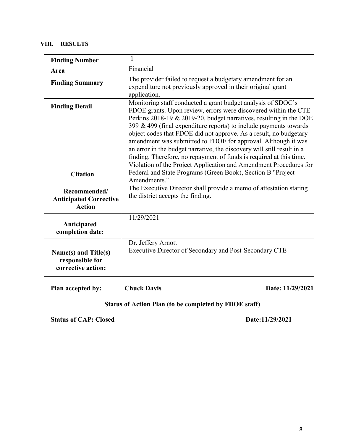#### **VIII. RESULTS**

| <b>Finding Number</b>                                          | $\mathbf{1}$                                                                                                                                                                                                                                                                                                                                                                                                                                                                                                                                                      |  |  |  |
|----------------------------------------------------------------|-------------------------------------------------------------------------------------------------------------------------------------------------------------------------------------------------------------------------------------------------------------------------------------------------------------------------------------------------------------------------------------------------------------------------------------------------------------------------------------------------------------------------------------------------------------------|--|--|--|
| Area                                                           | Financial                                                                                                                                                                                                                                                                                                                                                                                                                                                                                                                                                         |  |  |  |
| <b>Finding Summary</b>                                         | The provider failed to request a budgetary amendment for an<br>expenditure not previously approved in their original grant<br>application.                                                                                                                                                                                                                                                                                                                                                                                                                        |  |  |  |
| <b>Finding Detail</b>                                          | Monitoring staff conducted a grant budget analysis of SDOC's<br>FDOE grants. Upon review, errors were discovered within the CTE<br>Perkins 2018-19 & 2019-20, budget narratives, resulting in the DOE<br>399 & 499 (final expenditure reports) to include payments towards<br>object codes that FDOE did not approve. As a result, no budgetary<br>amendment was submitted to FDOE for approval. Although it was<br>an error in the budget narrative, the discovery will still result in a<br>finding. Therefore, no repayment of funds is required at this time. |  |  |  |
| <b>Citation</b>                                                | Violation of the Project Application and Amendment Procedures for<br>Federal and State Programs (Green Book), Section B "Project<br>Amendments."                                                                                                                                                                                                                                                                                                                                                                                                                  |  |  |  |
| Recommended/<br><b>Anticipated Corrective</b><br><b>Action</b> | The Executive Director shall provide a memo of attestation stating<br>the district accepts the finding.                                                                                                                                                                                                                                                                                                                                                                                                                                                           |  |  |  |
| Anticipated<br>completion date:                                | 11/29/2021                                                                                                                                                                                                                                                                                                                                                                                                                                                                                                                                                        |  |  |  |
| Name(s) and Title(s)<br>responsible for<br>corrective action:  | Dr. Jeffery Arnott<br>Executive Director of Secondary and Post-Secondary CTE                                                                                                                                                                                                                                                                                                                                                                                                                                                                                      |  |  |  |
| Plan accepted by:                                              | <b>Chuck Davis</b><br>Date: 11/29/2021                                                                                                                                                                                                                                                                                                                                                                                                                                                                                                                            |  |  |  |
| Status of Action Plan (to be completed by FDOE staff)          |                                                                                                                                                                                                                                                                                                                                                                                                                                                                                                                                                                   |  |  |  |
| <b>Status of CAP: Closed</b>                                   | Date:11/29/2021                                                                                                                                                                                                                                                                                                                                                                                                                                                                                                                                                   |  |  |  |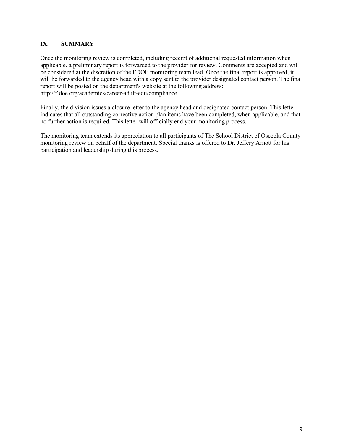#### **IX. SUMMARY**

 will be forwarded to the agency head with a copy sent to the provider designated contact person. The final Once the monitoring review is completed, including receipt of additional requested information when applicable, a preliminary report is forwarded to the provider for review. Comments are accepted and will be considered at the discretion of the FDOE monitoring team lead. Once the final report is approved, it report will be posted on the department's website at the following address: [http://fldoe.org/academics/career-adult-edu/compliance.](http://fldoe.org/academics/career-adult-edu/compliance)

 Finally, the division issues a closure letter to the agency head and designated contact person. This letter indicates that all outstanding corrective action plan items have been completed, when applicable, and that no further action is required. This letter will officially end your monitoring process.

 The monitoring team extends its appreciation to all participants of The School District of Osceola County monitoring review on behalf of the department. Special thanks is offered to Dr. Jeffery Arnott for his participation and leadership during this process.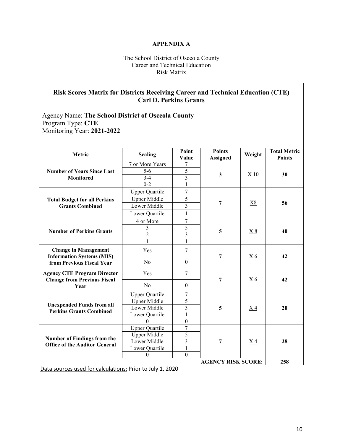#### **APPENDIX A**

#### The School District of Osceola County Career and Technical Education Risk Matrix

#### **Risk Scores Matrix for Districts Receiving Career and Technical Education (CTE) Carl D. Perkins Grants**

 Program Type: **CTE**  Agency Name: **The School District of Osceola County**  Monitoring Year: **2021-2022** 

| Metric                                                                                       | <b>Scaling</b>        | Point<br>Value   | <b>Points</b><br><b>Assigned</b> | Weight          | <b>Total Metric</b><br><b>Points</b> |
|----------------------------------------------------------------------------------------------|-----------------------|------------------|----------------------------------|-----------------|--------------------------------------|
| <b>Number of Years Since Last</b><br><b>Monitored</b>                                        | 7 or More Years       | 7                |                                  |                 |                                      |
|                                                                                              | $5-6$                 | 5                | $\mathbf{3}$                     |                 |                                      |
|                                                                                              | $3-4$                 | $\overline{3}$   |                                  | X <sub>10</sub> | 30                                   |
|                                                                                              | $0 - 2$               | 1                |                                  |                 |                                      |
|                                                                                              | <b>Upper Quartile</b> | 7                |                                  |                 |                                      |
| <b>Total Budget for all Perkins</b>                                                          | <b>Upper Middle</b>   | $\overline{5}$   |                                  |                 |                                      |
| <b>Grants Combined</b>                                                                       | Lower Middle          | 3                | 7                                | X8              | 56                                   |
|                                                                                              | Lower Quartile        | $\mathbf{1}$     |                                  |                 |                                      |
|                                                                                              | 4 or More             | $\tau$           |                                  |                 |                                      |
| <b>Number of Perkins Grants</b>                                                              | 3                     | 5                | 5                                |                 | 40                                   |
|                                                                                              | $\overline{2}$        | $\overline{3}$   |                                  | X8              |                                      |
|                                                                                              | $\mathbf{1}$          | $\mathbf{1}$     |                                  |                 |                                      |
| <b>Change in Management</b><br><b>Information Systems (MIS)</b><br>from Previous Fiscal Year | Yes                   | $\tau$           | 7                                | X <sub>6</sub>  | 42                                   |
|                                                                                              | N <sub>0</sub>        | $\theta$         |                                  |                 |                                      |
| <b>Agency CTE Program Director</b><br><b>Change from Previous Fiscal</b><br>Year             | Yes                   | $\overline{7}$   | 7                                |                 | 42                                   |
|                                                                                              | No                    | $\theta$         |                                  | <u>X6</u>       |                                      |
|                                                                                              | <b>Upper Quartile</b> | $\overline{7}$   |                                  |                 |                                      |
| <b>Unexpended Funds from all</b>                                                             | Upper Middle          | 5                |                                  |                 |                                      |
| <b>Perkins Grants Combined</b>                                                               | Lower Middle          | $\overline{3}$   | 5                                | X <sub>4</sub>  | 20                                   |
|                                                                                              | Lower Quartile        | $\mathbf{1}$     |                                  |                 |                                      |
|                                                                                              | $\Omega$              | $\boldsymbol{0}$ |                                  |                 |                                      |
| <b>Number of Findings from the</b><br><b>Office of the Auditor General</b>                   | <b>Upper Quartile</b> | $\overline{7}$   |                                  |                 |                                      |
|                                                                                              | <b>Upper Middle</b>   | 5                |                                  |                 |                                      |
|                                                                                              | Lower Middle          | $\overline{3}$   | 7                                | <u>X4</u>       | 28                                   |
|                                                                                              | Lower Quartile        | $\mathbf{1}$     |                                  |                 |                                      |
|                                                                                              | $\mathbf{0}$          | $\mathbf{0}$     |                                  |                 |                                      |
| <b>AGENCY RISK SCORE:</b>                                                                    |                       |                  |                                  |                 | 258                                  |

Data sources used for calculations: Prior to July 1, 2020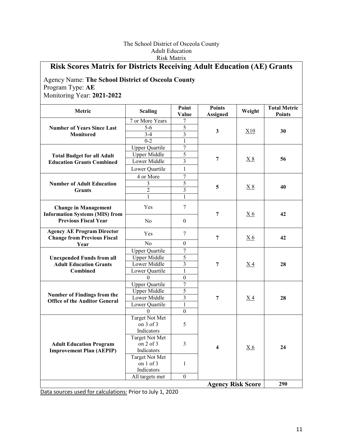#### The School District of Osceola County Adult Education Risk Matrix

## **Risk Scores Matrix for Districts Receiving Adult Education (AE) Grants**

#### Agency Name: **The School District of Osceola County**  Program Type: **AE**  Monitoring Year: **2021-2022**

| Metric                                                                  | <b>Scaling</b>                     | Point<br>Value          | <b>Points</b><br><b>Assigned</b> | Weight         | <b>Total Metric</b><br><b>Points</b> |
|-------------------------------------------------------------------------|------------------------------------|-------------------------|----------------------------------|----------------|--------------------------------------|
| <b>Number of Years Since Last</b><br><b>Monitored</b>                   | 7 or More Years                    | 7                       |                                  |                |                                      |
|                                                                         | $\overline{5-6}$                   | 5                       |                                  |                |                                      |
|                                                                         | $3-4$                              | $\overline{3}$          | $\mathbf{3}$                     | X10            | 30                                   |
|                                                                         | $0 - 2$                            | $\mathbf{1}$            |                                  |                |                                      |
|                                                                         | <b>Upper Quartile</b>              | $\overline{7}$          |                                  |                |                                      |
| <b>Total Budget for all Adult</b>                                       | <b>Upper Middle</b>                | $\overline{5}$          |                                  |                |                                      |
| <b>Education Grants Combined</b>                                        | Lower Middle                       | $\overline{3}$          | 7                                | X8             | 56                                   |
|                                                                         | Lower Quartile                     | $\mathbf{1}$            |                                  |                |                                      |
|                                                                         | 4 or More                          | $\overline{7}$          |                                  |                |                                      |
| <b>Number of Adult Education</b>                                        | $\overline{\mathbf{3}}$            | $\overline{5}$          |                                  |                |                                      |
| <b>Grants</b>                                                           | $\overline{2}$                     | $\overline{\mathbf{3}}$ | 5                                | X8             | 40                                   |
|                                                                         | 1                                  | $\mathbf{1}$            |                                  |                |                                      |
| <b>Change in Management</b><br><b>Information Systems (MIS) from</b>    | Yes                                | $\overline{7}$          | 7                                | X <sub>6</sub> | 42                                   |
| <b>Previous Fiscal Year</b>                                             | No                                 | $\boldsymbol{0}$        |                                  |                |                                      |
| <b>Agency AE Program Director</b><br><b>Change from Previous Fiscal</b> | Yes                                | 7                       | $\overline{7}$                   | X <sub>6</sub> | 42                                   |
| Year                                                                    | No                                 | $\theta$                |                                  |                |                                      |
|                                                                         | <b>Upper Quartile</b>              | $\overline{7}$          |                                  |                | 28                                   |
| <b>Unexpended Funds from all</b>                                        | <b>Upper Middle</b>                | $\overline{5}$          | $\overline{7}$                   | X <sub>4</sub> |                                      |
| <b>Adult Education Grants</b>                                           | Lower Middle                       | $\overline{3}$          |                                  |                |                                      |
| <b>Combined</b>                                                         | Lower Quartile                     | $\mathbf{1}$            |                                  |                |                                      |
|                                                                         | $\Omega$                           | $\overline{0}$          |                                  |                |                                      |
|                                                                         | <b>Upper Quartile</b>              | $\overline{7}$          |                                  |                |                                      |
| <b>Number of Findings from the</b>                                      | <b>Upper Middle</b>                | 5                       |                                  |                |                                      |
| <b>Office of the Auditor General</b>                                    | Lower Middle                       | $\overline{3}$          | 7                                | $X_4$          | 28                                   |
|                                                                         | Lower Quartile                     | $\mathbf{1}$            |                                  |                |                                      |
|                                                                         | $\Omega$                           | $\overline{0}$          |                                  |                |                                      |
|                                                                         | <b>Target Not Met</b>              |                         |                                  |                |                                      |
|                                                                         | on $3$ of $3$                      | 5                       |                                  |                |                                      |
|                                                                         | Indicators                         |                         |                                  |                | 24                                   |
| <b>Adult Education Program</b><br><b>Improvement Plan (AEPIP)</b>       | <b>Target Not Met</b>              |                         |                                  |                |                                      |
|                                                                         | on $2$ of $3$                      | $\overline{3}$          | $\overline{\mathbf{4}}$          | X <sub>6</sub> |                                      |
|                                                                         | Indicators                         |                         |                                  |                |                                      |
|                                                                         | <b>Target Not Met</b><br>on 1 of 3 |                         |                                  |                |                                      |
|                                                                         | Indicators                         | $\mathbf{1}$            |                                  |                |                                      |
|                                                                         | All targets met                    | $\overline{0}$          |                                  |                |                                      |
|                                                                         |                                    |                         |                                  |                | 290                                  |
|                                                                         |                                    |                         | <b>Agency Risk Score</b>         |                |                                      |

Data sources used for calculations: Prior to July 1, 2020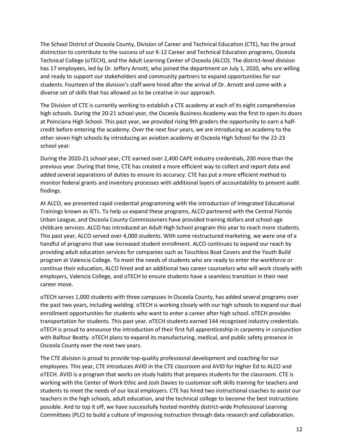Technical College (oTECH), and the Adult Learning Center of Osceola (ALCO). The district-level division has 17 employees, led by Dr. Jeffery Arnott, who joined the department on July 1, 2020, who are willing and ready to support our stakeholders and community partners to expand opportunities for our students. Fourteen of the division's staff were hired after the arrival of Dr. Arnott and come with a The School District of Osceola County, Division of Career and Technical Education (CTE), has the proud distinction to contribute to the success of our K-12 Career and Technical Education programs, Osceola diverse set of skills that has allowed us to be creative in our approach.

 The Division of CTE is currently working to establish a CTE academy at each of its eight comprehensive high schools. During the 20-21 school year, the Osceola Business Academy was the first to open its doors at Poinciana High School. This past year, we provided rising 9th graders the opportunity to earn a halfcredit before entering the academy. Over the next four years, we are introducing an academy to the other seven high schools by introducing an aviation academy at Osceola High School for the 22-23 school year.

 During the 2020-21 school year, CTE earned over 2,400 CAPE industry credentials, 200 more than the previous year. During that time, CTE has created a more efficient way to collect and report data and added several separations of duties to ensure its accuracy. CTE has put a more efficient method to monitor federal grants and inventory processes with additional layers of accountability to prevent audit findings.

 continue their education, ALCO hired and an additional two career counselors who will work closely with At ALCO, we presented rapid credential programming with the introduction of Integrated Educational Trainings known as IETs. To help us expand these programs, ALCO partnered with the Central Florida Urban League, and Osceola County Commissioners have provided training dollars and school-age childcare services. ALCO has introduced an Adult High School program this year to reach more students. This past year, ALCO served over 4,000 students. With some restructured marketing, we were one of a handful of programs that saw increased student enrollment. ALCO continues to expand our reach by providing adult education services for companies such as Touchless Boat Covers and the Youth Build program at Valencia College. To meet the needs of students who are ready to enter the workforce or employers, Valencia College, and oTECH to ensure students have a seamless transition in their next career move.

 the past two years, including welding. oTECH is working closely with our high schools to expand our dual enrollment opportunities for students who want to enter a career after high school. oTECH provides oTECH is proud to announce the introduction of their first full apprenticeship in carpentry in conjunction oTECH serves 1,000 students with three campuses in Osceola County, has added several programs over transportation for students. This past year, oTECH students earned 144 recognized industry credentials. with Balfour Beatty. oTECH plans to expand its manufacturing, medical, and public safety presence in Osceola County over the next two years.

 employees. This year, CTE introduces AVID in the CTE classroom and AVID for Higher Ed to ALCO and oTECH. AVID is a program that works on study habits that prepares students for the classroom. CTE is working with the Center of Work Ethic and Josh Davies to customize soft skills training for teachers and students to meet the needs of our local employers. CTE has hired two instructional coaches to assist our teachers in the high schools, adult education, and the technical college to become the best instructions Committees (PLC) to build a culture of improving instruction through data research and collaboration. The CTE division is proud to provide top-quality professional development and coaching for our possible. And to top it off, we have successfully hosted monthly district-wide Professional Learning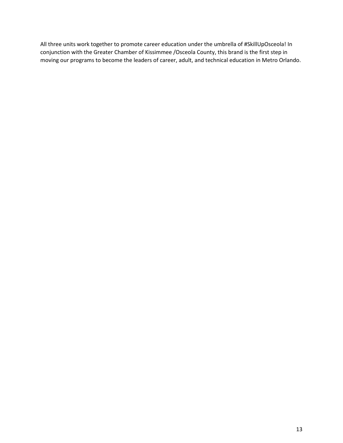moving our programs to become the leaders of career, adult, and technical education in Metro Orlando. All three units work together to promote career education under the umbrella of #SkillUpOsceola! In conjunction with the Greater Chamber of Kissimmee /Osceola County, this brand is the first step in